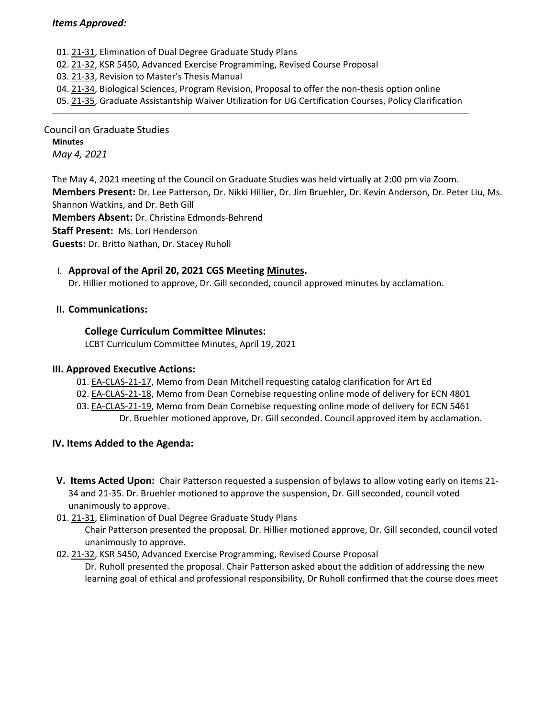#### *Items Approved:*

- 01. 21‐[31,](https://castle.eiu.edu/eiucgs/currentagendaitems/agenda21-31.pdf) Elimination of Dual Degree Graduate Study Plans
- 02. 21‐[32,](https://castle.eiu.edu/eiucgs/currentagendaitems/agenda21-32.pdf) KSR 5450, Advanced Exercise Programming, Revised Course Proposal
- 03. [21](https://castle.eiu.edu/eiucgs/currentagendaitems/agenda21-33.pdf)‐33, Revision to Master's Thesis Manual
- 04. 21-[34,](https://castle.eiu.edu/eiucgs/currentagendaitems/agenda21-34.pdf) Biological Sciences, Program Revision, Proposal to offer the non-thesis option online
- 05. 21‐[35,](https://castle.eiu.edu/eiucgs/currentagendaitems/agenda21-35.pdf) Graduate Assistantship Waiver Utilization for UG Certification Courses, Policy Clarification

Council on Graduate Studies **Minutes** *May 4, 2021*

The May 4, 2021 meeting of the Council on Graduate Studies was held virtually at 2:00 pm via Zoom. **Members Present:** Dr. Lee Patterson, Dr. Nikki Hillier, Dr. Jim Bruehler, Dr. Kevin Anderson, Dr. Peter Liu, Ms. Shannon Watkins, and Dr. Beth Gill **Members Absent:** Dr. Christina Edmonds‐Behrend **Staff Present:** Ms. Lori Henderson

**Guests:** Dr. Britto Nathan, Dr. Stacey Ruholl

## I. **Approval of the April 20, 2021 CGS Meeting [Minutes.](https://castle.eiu.edu/eiucgs/currentminutes/Minutes4-20-21.pdf)**

Dr. Hillier motioned to approve, Dr. Gill seconded, council approved minutes by acclamation.

#### **II. Communications:**

#### **College Curriculum Committee Minutes:**

LCBT Curriculum Committee Minutes, April 19, 2021

## **III. Approved Executive Actions:**

- 01. EA‐[CLAS](https://castle.eiu.edu/eiucgs/exec-actions/EA-CLAS-21-17.pdf)‐21‐17, Memo from Dean Mitchell requesting catalog clarification for Art Ed
- 02. EA-[CLAS](https://castle.eiu.edu/eiucgs/exec-actions/EA-CLAS-21-18.pdf)-21-18, Memo from Dean Cornebise requesting online mode of delivery for ECN 4801
- 03. EA‐[CLAS](https://castle.eiu.edu/eiucgs/exec-actions/EA-CLAS-21-19.pdf)‐21‐19, Memo from Dean Cornebise requesting online mode of delivery for ECN 5461
	- Dr. Bruehler motioned approve, Dr. Gill seconded. Council approved item by acclamation.

## **IV. Items Added to the Agenda:**

- **V. Items Acted Upon:** Chair Patterson requested a suspension of bylaws to allow voting early on items 21‐ 34 and 21‐35. Dr. Bruehler motioned to approve the suspension, Dr. Gill seconded, council voted unanimously to approve.
- 01. [21](https://castle.eiu.edu/eiucgs/currentagendaitems/agenda21-31.pdf)‐31, Elimination of Dual Degree Graduate Study Plans

Chair Patterson presented the proposal. Dr. Hillier motioned approve, Dr. Gill seconded, council voted unanimously to approve.

02. 21‐[32,](https://castle.eiu.edu/eiucgs/currentagendaitems/agenda21-32.pdf) KSR 5450, Advanced Exercise Programming, Revised Course Proposal

Dr. Ruholl presented the proposal. Chair Patterson asked about the addition of addressing the new learning goal of ethical and professional responsibility, Dr Ruholl confirmed that the course does meet